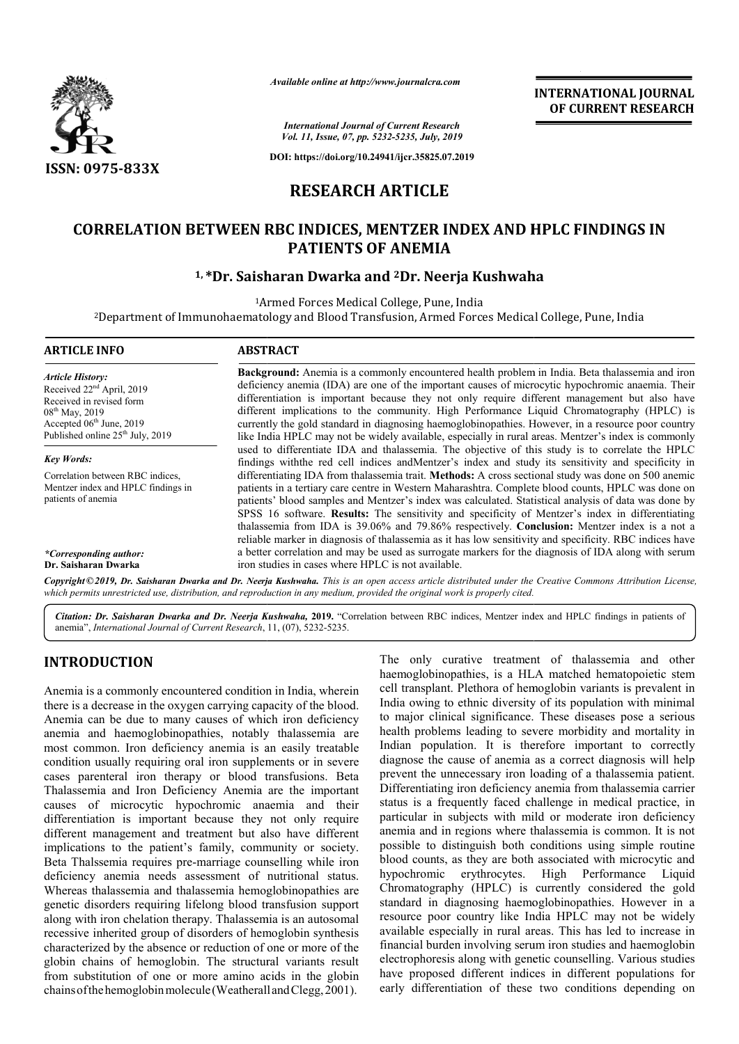

*Available online at http://www.journalcra.com*

**INTERNATIONAL JOURNAL OF CURRENT RESEARCH**

*International Journal of Current Research Vol. 11, Issue, 07, pp. 5232-5235, July, 2019*

**DOI: https://doi.org/10.24941/ijcr.35825.07.2019**

# **RESEARCH ARTICLE**

# **CORRELATION BETWEEN RBC INDICES, MENTZER INDEX AND HPLC FINDINGS IN PATIENTS OF ANEMIA**

## **1, \*Dr. Saisharan Dr. Dwarka and 2Dr. Neerja Kushwaha**

Armed Forces Medical College, Pune, India

1Armed 2Department of Immunohaematology and Blood Transfusion, Armed Forces Medical College, t Immunohaematology and Pune, India

| <b>ARTICLE INFO</b>                                                                                                                                                                     | <b>ABSTRACT</b>                                                                                                                                                                                                                                                                                                                                                                                                                                                                                                                                                                                                                         |
|-----------------------------------------------------------------------------------------------------------------------------------------------------------------------------------------|-----------------------------------------------------------------------------------------------------------------------------------------------------------------------------------------------------------------------------------------------------------------------------------------------------------------------------------------------------------------------------------------------------------------------------------------------------------------------------------------------------------------------------------------------------------------------------------------------------------------------------------------|
| <b>Article History:</b><br>Received 22 <sup>nd</sup> April, 2019<br>Received in revised form<br>$08^{th}$ May, 2019<br>Accepted $06th$ June, 2019<br>Published online $25th$ July, 2019 | Background: Anemia is a commonly encountered health problem in India. Beta thalassemia and iron<br>deficiency anemia (IDA) are one of the important causes of microcytic hypochromic anaemia. Their<br>differentiation is important because they not only require different management but also have<br>different implications to the community. High Performance Liquid Chromatography (HPLC) is<br>currently the gold standard in diagnosing haemoglobinopathies. However, in a resource poor country<br>like India HPLC may not be widely available, especially in rural areas. Mentzer's index is commonly                          |
|                                                                                                                                                                                         | used to differentiate IDA and thalassemia. The objective of this study is to correlate the HPLC                                                                                                                                                                                                                                                                                                                                                                                                                                                                                                                                         |
| <b>Key Words:</b>                                                                                                                                                                       | findings with the red cell indices and Mentzer's index and study its sensitivity and specificity in                                                                                                                                                                                                                                                                                                                                                                                                                                                                                                                                     |
| Correlation between RBC indices.<br>Mentzer index and HPLC findings in<br>patients of anemia                                                                                            | differentiating IDA from thalassemia trait. <b>Methods:</b> A cross sectional study was done on 500 anemic<br>patients in a tertiary care centre in Western Maharashtra. Complete blood counts, HPLC was done on<br>patients' blood samples and Mentzer's index was calculated. Statistical analysis of data was done by<br>SPSS 16 software. Results: The sensitivity and specificity of Mentzer's index in differentiating<br>thalassemia from IDA is 39.06% and 79.86% respectively. Conclusion: Mentzer index is a not a<br>reliable marker in diagnosis of thalassemia as it has low sensitivity and specificity. RBC indices have |
| *Corresponding author:                                                                                                                                                                  | a better correlation and may be used as surrogate markers for the diagnosis of IDA along with serum                                                                                                                                                                                                                                                                                                                                                                                                                                                                                                                                     |
| Dr. Saisharan Dwarka                                                                                                                                                                    | iron studies in cases where HPLC is not available.                                                                                                                                                                                                                                                                                                                                                                                                                                                                                                                                                                                      |

Copyright©2019, Dr. Saisharan Dwarka and Dr. Neerja Kushwaha. This is an open access article distributed under the Creative Commons Attribution License, which permits unrestricted use, distribution, and reproduction in any medium, provided the original work is properly cited.

Citation: Dr. Saisharan Dwarka and Dr. Neerja Kushwaha, 2019. "Correlation between RBC indices, Mentzer index and HPLC findings in patients of anemia", *International Journal of Current Research*, 11, (0 (07), 5232-5235.

# **INTRODUCTION**

Anemia is a commonly encountered condition in India, wherein there is a decrease in the oxygen carrying capacity of the blood. Anemia can be due to many causes of which iron deficiency anemia and haemoglobinopathies, notably thalassemia are most common. Iron deficiency anemia is an easily treatable condition usually requiring oral iron supplements or in severe cases parenteral iron therapy or blood transfusions. Beta Thalassemia and Iron Deficiency Anemia are the important causes of microcytic hypochromic anaemia and their differentiation is important because they not only require different management and treatment but also have different implications to the patient's family, community or society. Beta Thalssemia requires pre-marriage counselling while iron deficiency anemia needs assessment of nutritional status. Whereas thalassemia and thalassemia hemoglobinopathies are genetic disorders requiring lifelong blood transfusion support along with iron chelation therapy. Thalassemia is an autosomal recessive inherited group of disorders of hemoglobin synthesis characterized by the absence or reduction of one or more of the globin chains of hemoglobin. The structural variants result from substitution of one or more amino acids in the globin chains of the hemoglobin molecule (Weatherall and Clegg, 2001). o the patient's family, community or society<br>nia requires pre-marriage counselling while iror<br>emia needs assessment of nutritional status<br>ssemia and thalassemia hemoglobinopathies are<br>ers requiring lifelong blood transfusi

The only curative treatment of thalassemia and other haemoglobinopathies, is a HLA matched hematopoietic stem cell transplant. Plethora of hemoglobin India owing to ethnic diversity of its population with minimal to major clinical significance. These diseases pose a serious health problems leading to severe morbidity and mortality in health problems leading to severe morbidity and mortality in Indian population. It is therefore important to correctly diagnose the cause of anemia as a correct diagnosis will help prevent the unnecessary iron loading of a thalassemia patient. Differentiating iron deficiency anemia from thalassemia carrier status is a frequently faced challenge in medical practice, in particular in subjects with mild or moderate iron deficiency anemia and in regions where thalassemia is common. It is not possible to distinguish both conditions using simple routine blood counts, as they are both associated with microcytic and possible to distinguish both conditions using simple routine<br>blood counts, as they are both associated with microcytic and<br>hypochromic erythrocytes. High Performance Liquid Chromatography (HPLC) is currently considered the gold standard in diagnosing haemoglobinopathies. However in a resource poor country like India HPLC may not be widely available especially in rural areas. This has led to increase in financial burden involving serum iron studies and haemoglobin financial burden and electrophoresis along with genetic counselling. Various studies have proposed different indices in different populations for have proposed different indices in different populations for early differentiation of these two conditions depending on The only curative treatment of thalassemia and other haemoglobinopathies, is a HLA matched hematopoietic stem cell transplant. Plethora of hemoglobin variants is prevalent in diagnose the cause of anemia as a correct diagnosis will help<br>prevent the unnecessary iron loading of a thalassemia patient.<br>Differentiating iron deficiency anemia from thalassemia carrier<br>status is a frequently faced chal Chromatography (HPLC) is currently considered the gold standard in diagnosing haemoglobinopathies. However in a resource poor country like India HPLC may not be widely available especially in rural areas. This has led to i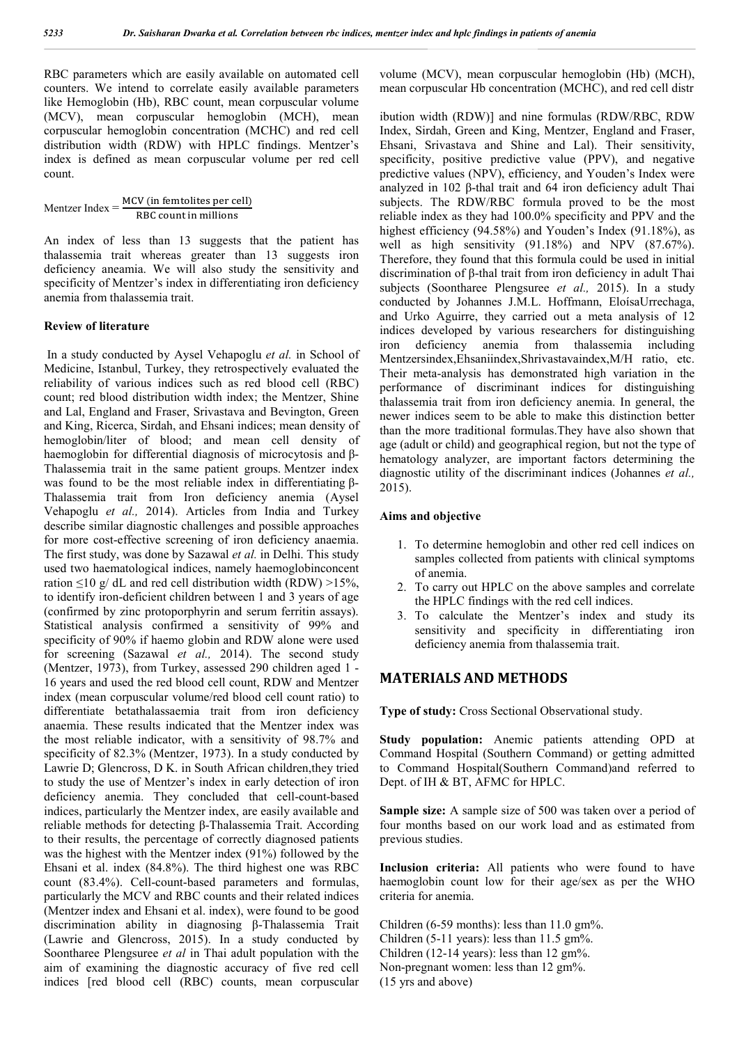RBC parameters which are easily available on automated cell counters. We intend to correlate easily available parameters like Hemoglobin (Hb), RBC count, mean corpuscular volume (MCV), mean corpuscular hemoglobin (MCH), mean corpuscular hemoglobin concentration (MCHC) and red cell distribution width (RDW) with HPLC findings. Mentzer's index is defined as mean corpuscular volume per red cell count.

Mentzer Index  $=$   $\frac{MCV}{RBC}$  count in millions

An index of less than 13 suggests that the patient has thalassemia trait whereas greater than 13 suggests iron deficiency aneamia. We will also study the sensitivity and specificity of Mentzer's index in differentiating iron deficiency anemia from thalassemia trait.

#### **Review of literature**

In a study conducted by Aysel Vehapoglu *et al.* in School of Medicine, Istanbul, Turkey, they retrospectively evaluated the reliability of various indices such as red blood cell (RBC) count; red blood distribution width index; the Mentzer, Shine and Lal, England and Fraser, Srivastava and Bevington, Green and King, Ricerca, Sirdah, and Ehsani indices; mean density of hemoglobin/liter of blood; and mean cell density of haemoglobin for differential diagnosis of microcytosis and β-Thalassemia trait in the same patient groups. Mentzer index was found to be the most reliable index in differentiating β-Thalassemia trait from Iron deficiency anemia (Aysel Vehapoglu *et al.,* 2014). Articles from India and Turkey describe similar diagnostic challenges and possible approaches for more cost-effective screening of iron deficiency anaemia. The first study, was done by Sazawal *et al.* in Delhi. This study used two haematological indices, namely haemoglobinconcent ration  $\leq$ 10 g/ dL and red cell distribution width (RDW)  $>$ 15%, to identify iron-deficient children between 1 and 3 years of age (confirmed by zinc protoporphyrin and serum ferritin assays). Statistical analysis confirmed a sensitivity of 99% and specificity of 90% if haemo globin and RDW alone were used for screening (Sazawal *et al.,* 2014). The second study (Mentzer, 1973), from Turkey, assessed 290 children aged 1 - 16 years and used the red blood cell count, RDW and Mentzer index (mean corpuscular volume/red blood cell count ratio) to differentiate betathalassaemia trait from iron deficiency anaemia. These results indicated that the Mentzer index was the most reliable indicator, with a sensitivity of 98.7% and specificity of 82.3% (Mentzer, 1973). In a study conducted by Lawrie D; Glencross, D K. in South African children,they tried to study the use of Mentzer's index in early detection of iron deficiency anemia. They concluded that cell-count-based indices, particularly the Mentzer index, are easily available and reliable methods for detecting β-Thalassemia Trait. According to their results, the percentage of correctly diagnosed patients was the highest with the Mentzer index (91%) followed by the Ehsani et al. index (84.8%). The third highest one was RBC count (83.4%). Cell-count-based parameters and formulas, particularly the MCV and RBC counts and their related indices (Mentzer index and Ehsani et al. index), were found to be good discrimination ability in diagnosing β-Thalassemia Trait (Lawrie and Glencross, 2015). In a study conducted by Soontharee Plengsuree *et al* in Thai adult population with the aim of examining the diagnostic accuracy of five red cell indices [red blood cell (RBC) counts, mean corpuscular

volume (MCV), mean corpuscular hemoglobin (Hb) (MCH), mean corpuscular Hb concentration (MCHC), and red cell distr

ibution width (RDW)] and nine formulas (RDW/RBC, RDW Index, Sirdah, Green and King, Mentzer, England and Fraser, Ehsani, Srivastava and Shine and Lal). Their sensitivity, specificity, positive predictive value (PPV), and negative predictive values (NPV), efficiency, and Youden's Index were analyzed in 102 β-thal trait and 64 iron deficiency adult Thai subjects. The RDW/RBC formula proved to be the most reliable index as they had 100.0% specificity and PPV and the highest efficiency (94.58%) and Youden's Index (91.18%), as well as high sensitivity (91.18%) and NPV (87.67%). Therefore, they found that this formula could be used in initial discrimination of β-thal trait from iron deficiency in adult Thai subjects (Soontharee Plengsuree *et al.,* 2015). In a study conducted by Johannes J.M.L. Hoffmann, EloísaUrrechaga, and Urko Aguirre, they carried out a meta analysis of 12 indices developed by various researchers for distinguishing iron deficiency anemia from thalassemia including Mentzersindex,Ehsaniindex,Shrivastavaindex,M/H ratio, etc. Their meta-analysis has demonstrated high variation in the performance of discriminant indices for distinguishing thalassemia trait from iron deficiency anemia. In general, the newer indices seem to be able to make this distinction better than the more traditional formulas.They have also shown that age (adult or child) and geographical region, but not the type of hematology analyzer, are important factors determining the diagnostic utility of the discriminant indices (Johannes *et al.,*  2015).

#### **Aims and objective**

- 1. To determine hemoglobin and other red cell indices on samples collected from patients with clinical symptoms of anemia.
- 2. To carry out HPLC on the above samples and correlate the HPLC findings with the red cell indices.
- 3. To calculate the Mentzer's index and study its sensitivity and specificity in differentiating iron deficiency anemia from thalassemia trait.

### **MATERIALS AND METHODS**

**Type of study:** Cross Sectional Observational study.

**Study population:** Anemic patients attending OPD at Command Hospital (Southern Command) or getting admitted to Command Hospital(Southern Command)and referred to Dept. of IH & BT, AFMC for HPLC.

**Sample size:** A sample size of 500 was taken over a period of four months based on our work load and as estimated from previous studies.

**Inclusion criteria:** All patients who were found to have haemoglobin count low for their age/sex as per the WHO criteria for anemia.

Children (6-59 months): less than  $11.0 \text{ gm\%}$ . Children (5-11 years): less than  $11.5 \text{ gm\%}$ . Children (12-14 years): less than 12 gm%. Non-pregnant women: less than 12 gm%. (15 yrs and above)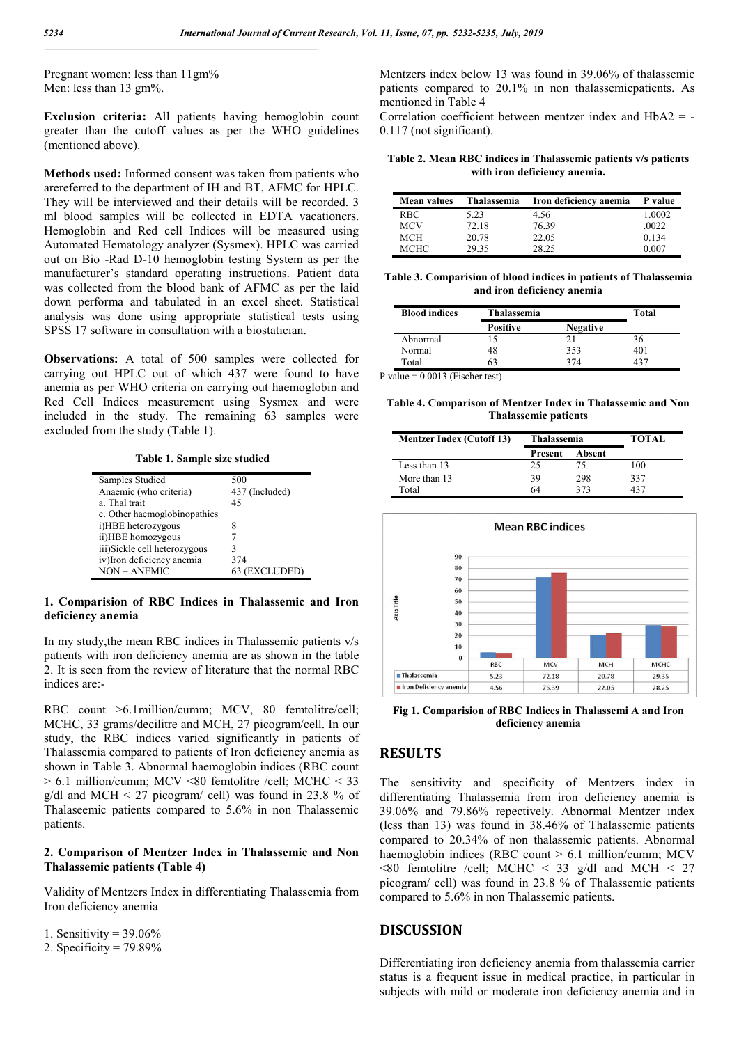Pregnant women: less than 11gm% Men: less than 13 gm%.

**Exclusion criteria:** All patients having hemoglobin count greater than the cutoff values as per the WHO guidelines (mentioned above).

**Methods used:** Informed consent was taken from patients who arereferred to the department of IH and BT, AFMC for HPLC. They will be interviewed and their details will be recorded. 3 ml blood samples will be collected in EDTA vacationers. Hemoglobin and Red cell Indices will be measured using Automated Hematology analyzer (Sysmex). HPLC was carried out on Bio -Rad D-10 hemoglobin testing System as per the manufacturer's standard operating instructions. Patient data was collected from the blood bank of AFMC as per the laid down performa and tabulated in an excel sheet. Statistical analysis was done using appropriate statistical tests using SPSS 17 software in consultation with a biostatician.

**Observations:** A total of 500 samples were collected for carrying out HPLC out of which 437 were found to have anemia as per WHO criteria on carrying out haemoglobin and Red Cell Indices measurement using Sysmex and were included in the study. The remaining 63 samples were excluded from the study (Table 1).

**Table 1. Sample size studied**

| Samples Studied              | 500            |  |  |
|------------------------------|----------------|--|--|
| Anaemic (who criteria)       | 437 (Included) |  |  |
| a. Thal trait                | 45             |  |  |
| c. Other haemoglobinopathies |                |  |  |
| i)HBE heterozygous           | 8              |  |  |
| ii)HBE homozygous            |                |  |  |
| iii)Sickle cell heterozygous |                |  |  |
| iv)Iron deficiency anemia    | 374            |  |  |
| <b>NON - ANEMIC</b>          | 63 (EXCLUDED)  |  |  |

### **1. Comparision of RBC Indices in Thalassemic and Iron deficiency anemia**

In my study,the mean RBC indices in Thalassemic patients v/s patients with iron deficiency anemia are as shown in the table 2. It is seen from the review of literature that the normal RBC indices are:-

RBC count >6.1million/cumm; MCV, 80 femtolitre/cell; MCHC, 33 grams/decilitre and MCH, 27 picogram/cell. In our study, the RBC indices varied significantly in patients of Thalassemia compared to patients of Iron deficiency anemia as shown in Table 3. Abnormal haemoglobin indices (RBC count > 6.1 million/cumm; MCV <80 femtolitre /cell; MCHC < 33 g/dl and MCH  $\leq$  27 picogram/ cell) was found in 23.8 % of Thalaseemic patients compared to 5.6% in non Thalassemic patients.

#### **2. Comparison of Mentzer Index in Thalassemic and Non Thalassemic patients (Table 4)**

Validity of Mentzers Index in differentiating Thalassemia from Iron deficiency anemia

1. Sensitivity =  $39.06\%$ 

2. Specificity =  $79.89\%$ 

Mentzers index below 13 was found in 39.06% of thalassemic patients compared to 20.1% in non thalassemicpatients. As mentioned in Table 4

Correlation coefficient between mentzer index and HbA2 = - 0.117 (not significant).

**Table 2. Mean RBC indices in Thalassemic patients v/s patients with iron deficiency anemia.**

| <b>Mean values</b> | Thalassemia | Iron deficiency anemia | P value |
|--------------------|-------------|------------------------|---------|
| RBC.               | 5.23        | 4.56                   | 1.0002  |
| MCV                | 72.18       | 76.39                  | .0022   |
| MCH                | 20.78       | 22.05                  | 0.134   |
| МСНС               | 29.35       | 28.25                  | 0.007   |

**Table 3. Comparision of blood indices in patients of Thalassemia and iron deficiency anemia**

| <b>Blood indices</b> | Thalassemia     |                 | Total |
|----------------------|-----------------|-----------------|-------|
|                      | <b>Positive</b> | <b>Negative</b> |       |
| Abnormal             | 15              | 21              | 36    |
| Normal               | 48              | 353             | 401   |
| Total                | 53              | 374             | 131   |

P value =  $0.0013$  (Fischer test)

**Table 4. Comparison of Mentzer Index in Thalassemic and Non Thalassemic patients**

| <b>Mentzer Index (Cutoff 13)</b> | Thalassemia |        | <b>TOTAL</b> |
|----------------------------------|-------------|--------|--------------|
|                                  | Present     | Absent |              |
| Less than 13                     | 25          | 75     | 100          |
| More than 13                     | 39          | 298    | 337          |
| Total                            | 64          | 373    |              |



**Fig 1. Comparision of RBC Indices in Thalassemi A and Iron deficiency anemia**

## **RESULTS**

The sensitivity and specificity of Mentzers index in differentiating Thalassemia from iron deficiency anemia is 39.06% and 79.86% repectively. Abnormal Mentzer index (less than 13) was found in 38.46% of Thalassemic patients compared to 20.34% of non thalassemic patients. Abnormal haemoglobin indices (RBC count > 6.1 million/cumm; MCV  $\leq$ 80 femtolitre /cell; MCHC  $\leq$  33 g/dl and MCH  $\leq$  27 picogram/ cell) was found in 23.8 % of Thalassemic patients compared to 5.6% in non Thalassemic patients.

## **DISCUSSION**

Differentiating iron deficiency anemia from thalassemia carrier status is a frequent issue in medical practice, in particular in subjects with mild or moderate iron deficiency anemia and in